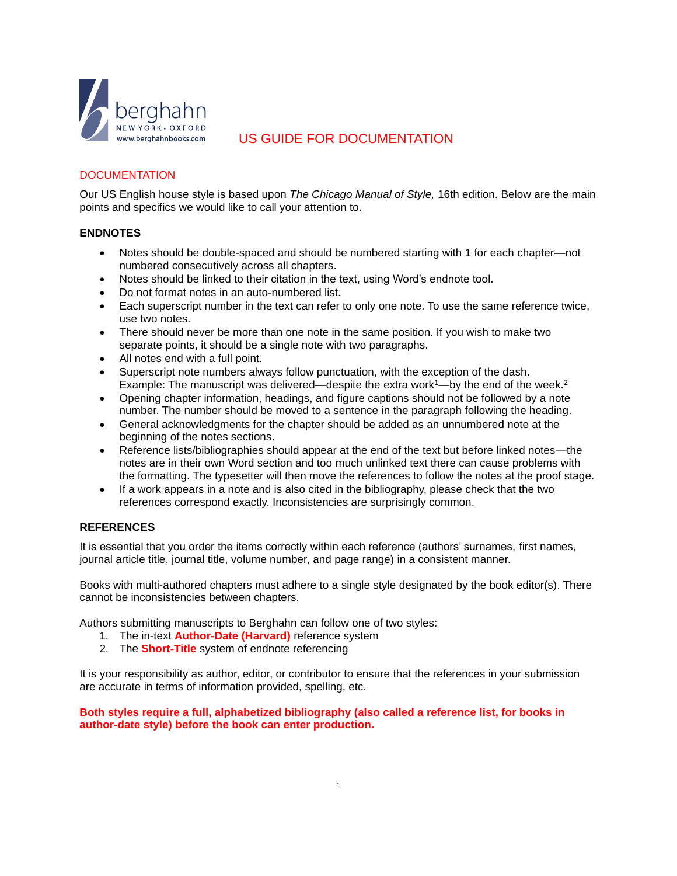

# US GUIDE FOR DOCUMENTATION

# **DOCUMENTATION**

Our US English house style is based upon *The Chicago Manual of Style,* 16th edition. Below are the main points and specifics we would like to call your attention to.

### **ENDNOTES**

- Notes should be double-spaced and should be numbered starting with 1 for each chapter—not numbered consecutively across all chapters.
- Notes should be linked to their citation in the text, using Word's endnote tool.
- Do not format notes in an auto-numbered list.
- Each superscript number in the text can refer to only one note. To use the same reference twice, use two notes.
- There should never be more than one note in the same position. If you wish to make two separate points, it should be a single note with two paragraphs.
- All notes end with a full point.
- Superscript note numbers always follow punctuation, with the exception of the dash. Example: The manuscript was delivered—despite the extra work $1$ —by the end of the week.<sup>2</sup>
- Opening chapter information, headings, and figure captions should not be followed by a note number. The number should be moved to a sentence in the paragraph following the heading.
- General acknowledgments for the chapter should be added as an unnumbered note at the beginning of the notes sections.
- Reference lists/bibliographies should appear at the end of the text but before linked notes—the notes are in their own Word section and too much unlinked text there can cause problems with the formatting. The typesetter will then move the references to follow the notes at the proof stage.
- If a work appears in a note and is also cited in the bibliography, please check that the two references correspond exactly. Inconsistencies are surprisingly common.

### **REFERENCES**

It is essential that you order the items correctly within each reference (authors' surnames, first names, journal article title, journal title, volume number, and page range) in a consistent manner.

Books with multi-authored chapters must adhere to a single style designated by the book editor(s). There cannot be inconsistencies between chapters.

Authors submitting manuscripts to Berghahn can follow one of two styles:

- 1. The in-text **Author-Date (Harvard)** reference system
- 2. The **Short-Title** system of endnote referencing

It is your responsibility as author, editor, or contributor to ensure that the references in your submission are accurate in terms of information provided, spelling, etc.

**Both styles require a full, alphabetized bibliography (also called a reference list, for books in author-date style) before the book can enter production.**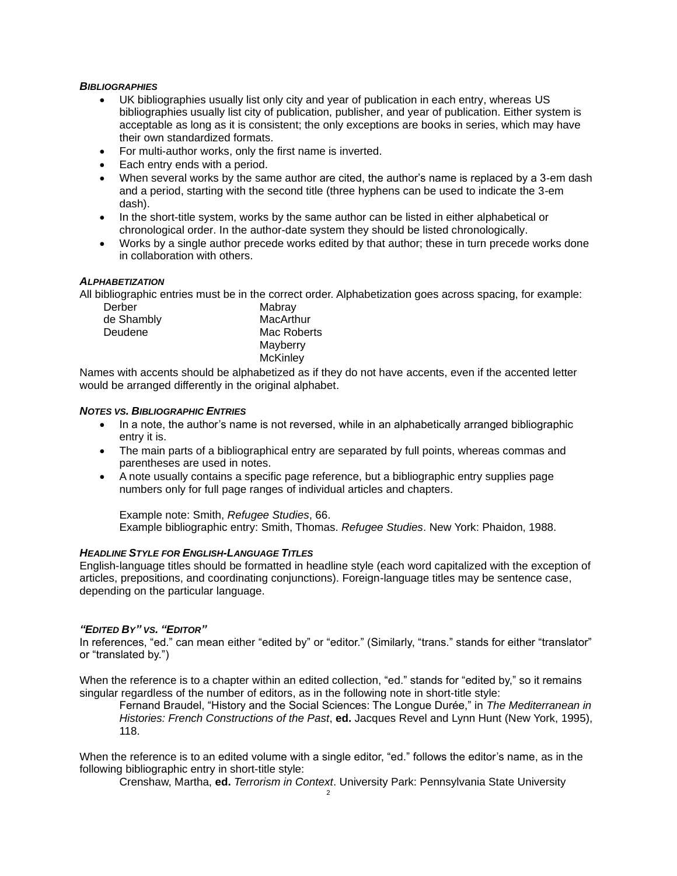### *BIBLIOGRAPHIES*

- UK bibliographies usually list only city and year of publication in each entry, whereas US bibliographies usually list city of publication, publisher, and year of publication. Either system is acceptable as long as it is consistent; the only exceptions are books in series, which may have their own standardized formats.
- For multi-author works, only the first name is inverted.
- Each entry ends with a period.
- When several works by the same author are cited, the author's name is replaced by a 3-em dash and a period, starting with the second title (three hyphens can be used to indicate the 3-em dash).
- In the short-title system, works by the same author can be listed in either alphabetical or chronological order. In the author-date system they should be listed chronologically.
- Works by a single author precede works edited by that author; these in turn precede works done in collaboration with others.

# *ALPHABETIZATION*

All bibliographic entries must be in the correct order. Alphabetization goes across spacing, for example:

| Derber     | Mabray          |
|------------|-----------------|
| de Shambly | MacArthur       |
| Deudene    | Mac Roberts     |
|            | Mayberry        |
|            | <b>McKinley</b> |

Names with accents should be alphabetized as if they do not have accents, even if the accented letter would be arranged differently in the original alphabet.

### *NOTES VS. BIBLIOGRAPHIC ENTRIES*

- In a note, the author's name is not reversed, while in an alphabetically arranged bibliographic entry it is.
- The main parts of a bibliographical entry are separated by full points, whereas commas and parentheses are used in notes.
- A note usually contains a specific page reference, but a bibliographic entry supplies page numbers only for full page ranges of individual articles and chapters.

Example note: Smith, *Refugee Studies*, 66.

Example bibliographic entry: Smith, Thomas. *Refugee Studies*. New York: Phaidon, 1988.

### *HEADLINE STYLE FOR ENGLISH-LANGUAGE TITLES*

English-language titles should be formatted in headline style (each word capitalized with the exception of articles, prepositions, and coordinating conjunctions). Foreign-language titles may be sentence case, depending on the particular language.

### *"EDITED BY" VS. "EDITOR"*

In references, "ed." can mean either "edited by" or "editor." (Similarly, "trans." stands for either "translator" or "translated by.")

When the reference is to a chapter within an edited collection, "ed." stands for "edited by," so it remains singular regardless of the number of editors, as in the following note in short-title style:

Fernand Braudel, "History and the Social Sciences: The Longue Durée," in *The Mediterranean in Histories: French Constructions of the Past*, **ed.** Jacques Revel and Lynn Hunt (New York, 1995), 118.

When the reference is to an edited volume with a single editor, "ed." follows the editor's name, as in the following bibliographic entry in short-title style:

Crenshaw, Martha, **ed.** *Terrorism in Context*. University Park: Pennsylvania State University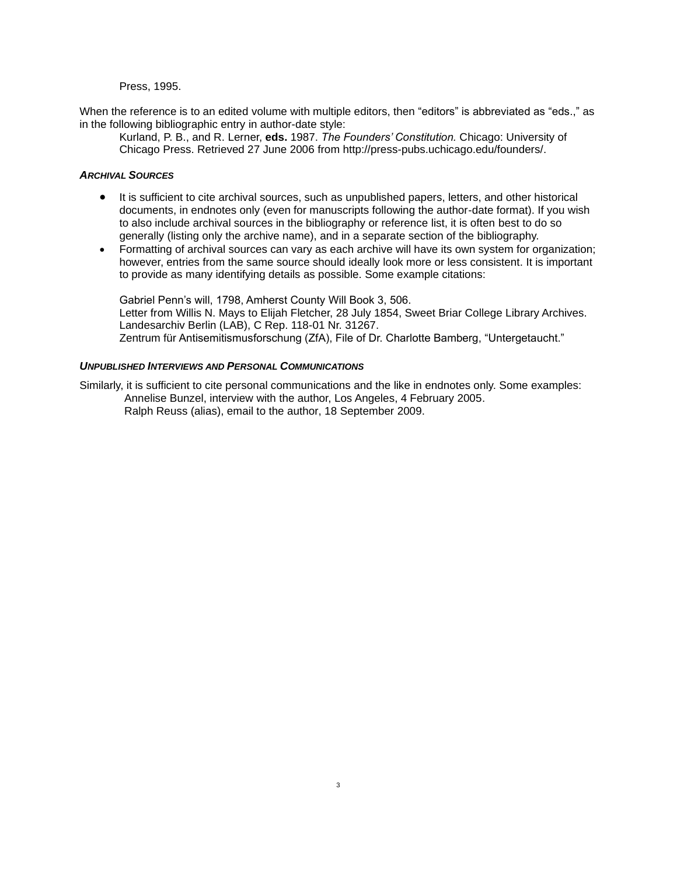### Press, 1995.

When the reference is to an edited volume with multiple editors, then "editors" is abbreviated as "eds.," as in the following bibliographic entry in author-date style:

Kurland, P. B., and R. Lerner, **eds.** 1987. *The Founders' Constitution.* Chicago: University of Chicago Press. Retrieved 27 June 2006 from [http://press-pubs.uchicago.edu/founders/.](http://press-pubs.uchicago.edu/founders/)

### *ARCHIVAL SOURCES*

- It is sufficient to cite archival sources, such as unpublished papers, letters, and other historical documents, in endnotes only (even for manuscripts following the author-date format). If you wish to also include archival sources in the bibliography or reference list, it is often best to do so generally (listing only the archive name), and in a separate section of the bibliography.
- Formatting of archival sources can vary as each archive will have its own system for organization; however, entries from the same source should ideally look more or less consistent. It is important to provide as many identifying details as possible. Some example citations:

Gabriel Penn's will, 1798, Amherst County Will Book 3, 506. Letter from Willis N. Mays to Elijah Fletcher, 28 July 1854, Sweet Briar College Library Archives. Landesarchiv Berlin (LAB), C Rep. 118-01 Nr. 31267. Zentrum für Antisemitismusforschung (ZfA), File of Dr. Charlotte Bamberg, "Untergetaucht."

### *UNPUBLISHED INTERVIEWS AND PERSONAL COMMUNICATIONS*

Similarly, it is sufficient to cite personal communications and the like in endnotes only. Some examples: Annelise Bunzel, interview with the author, Los Angeles, 4 February 2005. Ralph Reuss (alias), email to the author, 18 September 2009.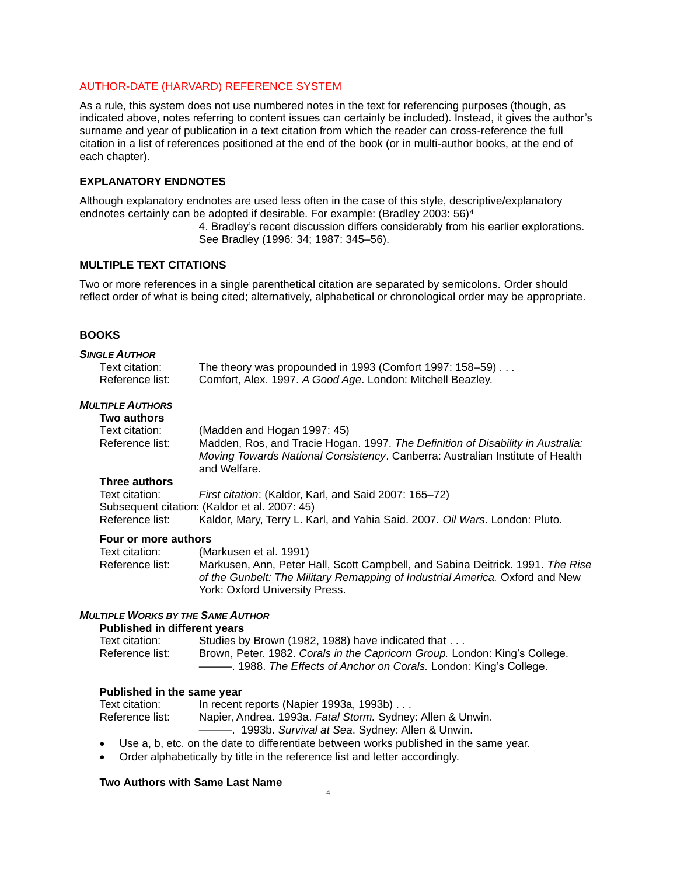# AUTHOR-DATE (HARVARD) REFERENCE SYSTEM

As a rule, this system does not use numbered notes in the text for referencing purposes (though, as indicated above, notes referring to content issues can certainly be included). Instead, it gives the author's surname and year of publication in a text citation from which the reader can cross-reference the full citation in a list of references positioned at the end of the book (or in multi-author books, at the end of each chapter).

# **EXPLANATORY ENDNOTES**

Although explanatory endnotes are used less often in the case of this style, descriptive/explanatory endnotes certainly can be adopted if desirable. For example: (Bradley 2003: 56)<sup>4</sup>

> 4. Bradley's recent discussion differs considerably from his earlier explorations. See Bradley (1996: 34; 1987: 345–56).

# **MULTIPLE TEXT CITATIONS**

Two or more references in a single parenthetical citation are separated by semicolons. Order should reflect order of what is being cited; alternatively, alphabetical or chronological order may be appropriate.

### **BOOKS**

| <b>SINGLE AUTHOR</b>    |                                                                                               |
|-------------------------|-----------------------------------------------------------------------------------------------|
| Text citation:          | The theory was propounded in 1993 (Comfort 1997: $158-59$ )                                   |
| Reference list:         | Comfort, Alex. 1997. A Good Age. London: Mitchell Beazley.                                    |
| <b>MULTIPLE AUTHORS</b> |                                                                                               |
| Two authors             |                                                                                               |
| Text citation:          | (Madden and Hogan 1997: 45)                                                                   |
| Reference list:         | Madden, Ros, and Tracie Hogan. 1997. The Definition of Disability in Australia:               |
|                         | Moving Towards National Consistency. Canberra: Australian Institute of Health<br>and Welfare. |
| <b>Three authors</b>    |                                                                                               |
| Text citation:          | First citation: (Kaldor, Karl, and Said 2007: 165–72)                                         |
|                         | Subsequent citation: (Kaldor et al. 2007: 45)                                                 |
| Reference list:         | Kaldor, Mary, Terry L. Karl, and Yahia Said. 2007. Oil Wars. London: Pluto.                   |
| Four or more authors    |                                                                                               |
|                         | $T_{\alpha_1}$ also $\alpha_2$ (Moreover at al 4004)                                          |

| Text citation: . | (Markusen et al. 1991)                                                         |
|------------------|--------------------------------------------------------------------------------|
| Reference list:  | Markusen, Ann, Peter Hall, Scott Campbell, and Sabina Deitrick. 1991. The Rise |
|                  | of the Gunbelt: The Military Remapping of Industrial America. Oxford and New   |
|                  | York: Oxford University Press.                                                 |

# *MULTIPLE WORKS BY THE SAME AUTHOR*

#### **Published in different years**

| Text citation:  | Studies by Brown (1982, 1988) have indicated that                                 |
|-----------------|-----------------------------------------------------------------------------------|
| Reference list: | Brown, Peter. 1982. Corals in the Capricorn Group. London: King's College.        |
|                 | ------------------ 1988. The Effects of Anchor on Corals. London: King's College. |

### **Published in the same year**

| Text citation:  | In recent reports (Napier 1993a, 1993b)                    |
|-----------------|------------------------------------------------------------|
| Reference list: | Napier, Andrea. 1993a. Fatal Storm. Sydney: Allen & Unwin. |
|                 |                                                            |

- Use a, b, etc. on the date to differentiate between works published in the same year.
- Order alphabetically by title in the reference list and letter accordingly.

### **Two Authors with Same Last Name**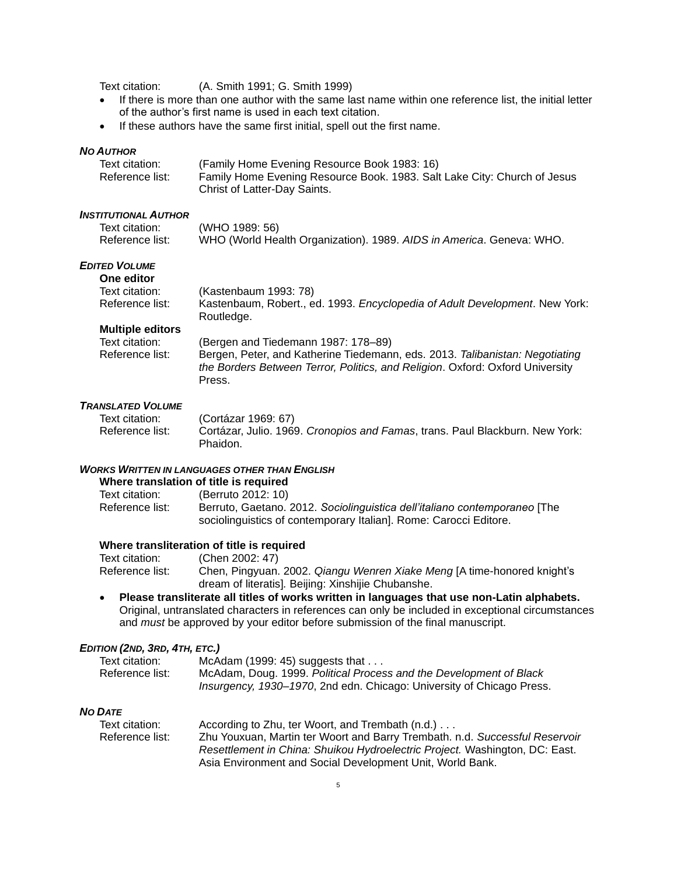Text citation: (A. Smith 1991; G. Smith 1999)

- If there is more than one author with the same last name within one reference list, the initial letter of the author's first name is used in each text citation.
- If these authors have the same first initial, spell out the first name.

### *NO AUTHOR*

| Text citation:  | (Family Home Evening Resource Book 1983: 16)                             |
|-----------------|--------------------------------------------------------------------------|
| Reference list: | Family Home Evening Resource Book. 1983. Salt Lake City: Church of Jesus |
|                 | Christ of Latter-Day Saints.                                             |

# *INSTITUTIONAL AUTHOR*

| Text citation:  | (WHO 1989: 56)                                                       |
|-----------------|----------------------------------------------------------------------|
| Reference list: | WHO (World Health Organization). 1989. AIDS in America. Geneva: WHO. |

### *EDITED VOLUME*

| One editor              |                                                                                                                                                                         |
|-------------------------|-------------------------------------------------------------------------------------------------------------------------------------------------------------------------|
| Text citation:          | (Kastenbaum 1993: 78)                                                                                                                                                   |
| Reference list:         | Kastenbaum, Robert., ed. 1993. Encyclopedia of Adult Development. New York:<br>Routledge.                                                                               |
| <b>Multiple editors</b> |                                                                                                                                                                         |
| Text citation:          | (Bergen and Tiedemann 1987: 178–89)                                                                                                                                     |
| Reference list:         | Bergen, Peter, and Katherine Tiedemann, eds. 2013. Talibanistan: Negotiating<br>the Borders Between Terror, Politics, and Religion. Oxford: Oxford University<br>Press. |

### *TRANSLATED VOLUME*

| Text citation:  | (Cortázar 1969: 67)                                                                      |
|-----------------|------------------------------------------------------------------------------------------|
| Reference list: | Cortázar, Julio. 1969. Cronopios and Famas, trans. Paul Blackburn. New York:<br>Phaidon. |

#### *WORKS WRITTEN IN LANGUAGES OTHER THAN ENGLISH*

| Where translation of title is required |                                                                                                                                                |
|----------------------------------------|------------------------------------------------------------------------------------------------------------------------------------------------|
| Text citation:                         | (Berruto 2012: 10)                                                                                                                             |
| Reference list:                        | Berruto, Gaetano. 2012. Sociolinguistica dell'italiano contemporaneo [The<br>sociolinguistics of contemporary Italian]. Rome: Carocci Editore. |

### **Where transliteration of title is required**

| Text citation:  | (Chen 2002: 47)                                                         |
|-----------------|-------------------------------------------------------------------------|
| Reference list: | Chen, Pingyuan. 2002. Qiangu Wenren Xiake Meng [A time-honored knight's |
|                 | dream of literatis]. Beijing: Xinshijie Chubanshe.                      |

• **Please transliterate all titles of works written in languages that use non-Latin alphabets.** Original, untranslated characters in references can only be included in exceptional circumstances and *must* be approved by your editor before submission of the final manuscript.

### *EDITION (2ND, 3RD, 4TH, ETC.)*

| Text citation:  | McAdam (1999: 45) suggests that $\dots$                               |
|-----------------|-----------------------------------------------------------------------|
| Reference list: | McAdam, Doug. 1999. Political Process and the Development of Black    |
|                 | Insurgency, 1930–1970, 2nd edn. Chicago: University of Chicago Press. |

# *NO DATE*

| Text citation:  | According to Zhu, ter Woort, and Trembath (n.d.)                                                                                         |
|-----------------|------------------------------------------------------------------------------------------------------------------------------------------|
| Reference list: | Zhu Youxuan, Martin ter Woort and Barry Trembath. n.d. Successful Reservoir                                                              |
|                 | Resettlement in China: Shuikou Hydroelectric Project. Washington, DC: East.<br>Asia Environment and Social Development Unit, World Bank. |
|                 |                                                                                                                                          |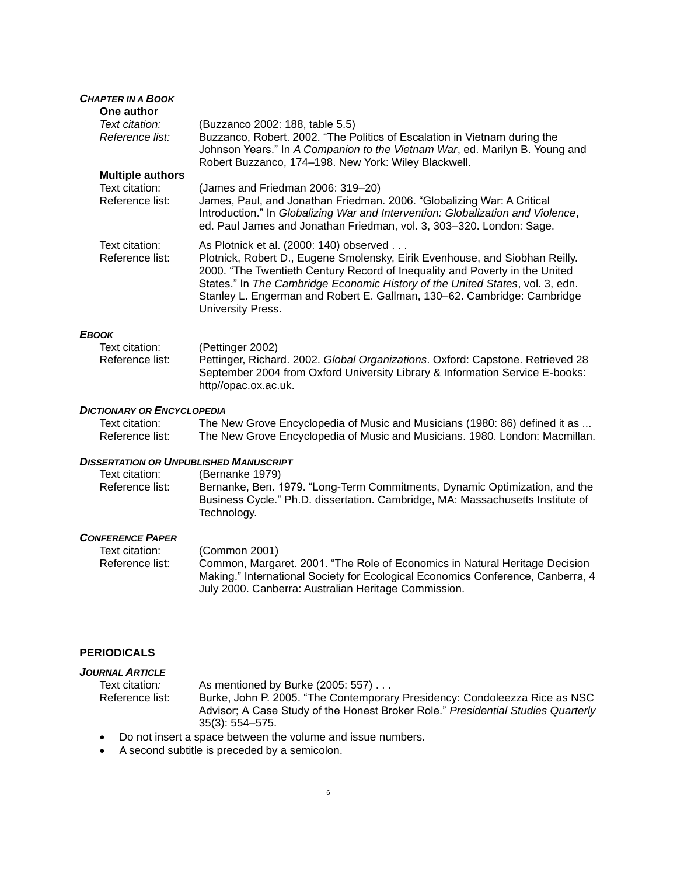| <b>CHAPTER IN A BOOK</b><br>One author |                                                                                                                                                                                                                                                                                                                                                                                        |
|----------------------------------------|----------------------------------------------------------------------------------------------------------------------------------------------------------------------------------------------------------------------------------------------------------------------------------------------------------------------------------------------------------------------------------------|
| Text citation:<br>Reference list:      | (Buzzanco 2002: 188, table 5.5)<br>Buzzanco, Robert. 2002. "The Politics of Escalation in Vietnam during the<br>Johnson Years." In A Companion to the Vietnam War, ed. Marilyn B. Young and<br>Robert Buzzanco, 174-198. New York: Wiley Blackwell.                                                                                                                                    |
| <b>Multiple authors</b>                |                                                                                                                                                                                                                                                                                                                                                                                        |
| Text citation:<br>Reference list:      | (James and Friedman 2006: 319-20)<br>James, Paul, and Jonathan Friedman. 2006. "Globalizing War: A Critical<br>Introduction." In Globalizing War and Intervention: Globalization and Violence,<br>ed. Paul James and Jonathan Friedman, vol. 3, 303–320. London: Sage.                                                                                                                 |
| Text citation:<br>Reference list:      | As Plotnick et al. (2000: 140) observed<br>Plotnick, Robert D., Eugene Smolensky, Eirik Evenhouse, and Siobhan Reilly.<br>2000. "The Twentieth Century Record of Inequality and Poverty in the United<br>States." In The Cambridge Economic History of the United States, vol. 3, edn.<br>Stanley L. Engerman and Robert E. Gallman, 130-62. Cambridge: Cambridge<br>University Press. |
| <b>EBOOK</b>                           |                                                                                                                                                                                                                                                                                                                                                                                        |
| Text citation:                         | (Pettinger 2002)                                                                                                                                                                                                                                                                                                                                                                       |
| Reference list:                        | Pettinger, Richard. 2002. Global Organizations. Oxford: Capstone. Retrieved 28                                                                                                                                                                                                                                                                                                         |

#### *DICTIONARY OR ENCYCLOPEDIA*

Text citation: The New Grove Encyclopedia of Music and Musicians (1980: 86) defined it as ... Reference list: The New Grove Encyclopedia of Music and Musicians. 1980. London: Macmillan.

September 2004 from Oxford University Library & Information Service E-books:

#### *DISSERTATION OR UNPUBLISHED MANUSCRIPT*

http//opac.ox.ac.uk.

| Text citation:  | (Bernanke 1979)                                                                |
|-----------------|--------------------------------------------------------------------------------|
| Reference list: | Bernanke, Ben. 1979. "Long-Term Commitments, Dynamic Optimization, and the     |
|                 | Business Cycle." Ph.D. dissertation. Cambridge, MA: Massachusetts Institute of |
|                 | Technoloav.                                                                    |

#### *CONFERENCE PAPER*

| Text citation:  | (Common 2001)                                                                   |
|-----------------|---------------------------------------------------------------------------------|
| Reference list: | Common, Margaret. 2001. "The Role of Economics in Natural Heritage Decision     |
|                 | Making." International Society for Ecological Economics Conference, Canberra, 4 |
|                 | July 2000. Canberra: Australian Heritage Commission.                            |

# **PERIODICALS**

# *JOURNAL ARTICLE*

| Text citation <i>:</i> | As mentioned by Burke (2005: 557)                                                |
|------------------------|----------------------------------------------------------------------------------|
| Reference list:        | Burke, John P. 2005. "The Contemporary Presidency: Condoleezza Rice as NSC       |
|                        | Advisor; A Case Study of the Honest Broker Role." Presidential Studies Quarterly |
|                        | $35(3)$ : 554–575.                                                               |

- Do not insert a space between the volume and issue numbers.
- A second subtitle is preceded by a semicolon.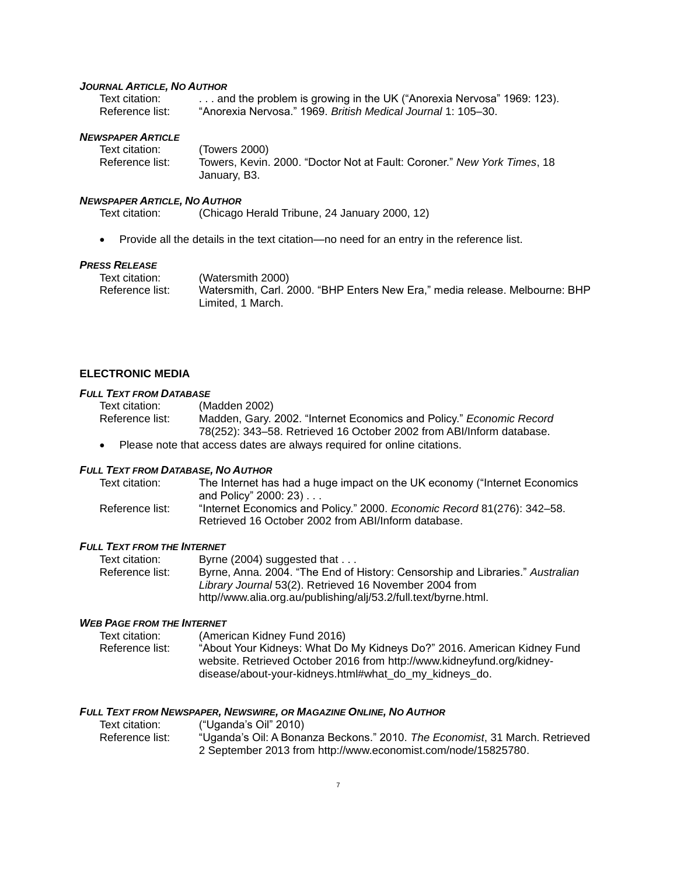### *JOURNAL ARTICLE, NO AUTHOR*

| Text citation:  | and the problem is growing in the UK ("Anorexia Nervosa" 1969: 123). |
|-----------------|----------------------------------------------------------------------|
| Reference list: | "Anorexia Nervosa." 1969. <i>British Medical Journal</i> 1: 105–30.  |

#### *NEWSPAPER ARTICLE*

Text citation: (Towers 2000) Reference list: Towers, Kevin. 2000. "Doctor Not at Fault: Coroner." *New York Times*, 18 January, B3.

#### *NEWSPAPER ARTICLE, NO AUTHOR*

Text citation: (Chicago Herald Tribune, 24 January 2000, 12)

• Provide all the details in the text citation—no need for an entry in the reference list.

#### *PRESS RELEASE*

Text citation: (Watersmith 2000) Reference list: Watersmith, Carl. 2000. "BHP Enters New Era," media release. Melbourne: BHP Limited, 1 March.

### **ELECTRONIC MEDIA**

#### *FULL TEXT FROM DATABASE*

Text citation: (Madden 2002) Reference list: Madden, Gary. 2002. "Internet Economics and Policy." *Economic Record* 78(252): 343–58. Retrieved 16 October 2002 from ABI/Inform database. • Please note that access dates are always required for online citations.

### *FULL TEXT FROM DATABASE, NO AUTHOR*

Text citation: The Internet has had a huge impact on the UK economy ("Internet Economics and Policy" 2000: 23) . . . Reference list: "Internet Economics and Policy." 2000. *Economic Record* 81(276): 342–58. Retrieved 16 October 2002 from ABI/Inform database.

#### *FULL TEXT FROM THE INTERNET*

| Byrne $(2004)$ suggested that $\dots$                                         |
|-------------------------------------------------------------------------------|
| Byrne, Anna. 2004. "The End of History: Censorship and Libraries." Australian |
| Library Journal 53(2). Retrieved 16 November 2004 from                        |
| http//www.alia.org.au/publishing/alj/53.2/full.text/byrne.html.               |
|                                                                               |

#### *WEB PAGE FROM THE INTERNET*

| Text citation:  | (American Kidney Fund 2016)                                             |
|-----------------|-------------------------------------------------------------------------|
| Reference list: | "About Your Kidneys: What Do My Kidneys Do?" 2016. American Kidney Fund |
|                 | website. Retrieved October 2016 from http://www.kidneyfund.org/kidney-  |
|                 | disease/about-your-kidneys.html#what_do_my_kidneys_do.                  |

#### *FULL TEXT FROM NEWSPAPER, NEWSWIRE, OR MAGAZINE ONLINE, NO AUTHOR*

| Text citation:  | ("Uganda's Oil" 2010)                                                       |
|-----------------|-----------------------------------------------------------------------------|
| Reference list: | "Uganda's Oil: A Bonanza Beckons." 2010. The Economist, 31 March. Retrieved |
|                 | 2 September 2013 from http://www.economist.com/node/15825780.               |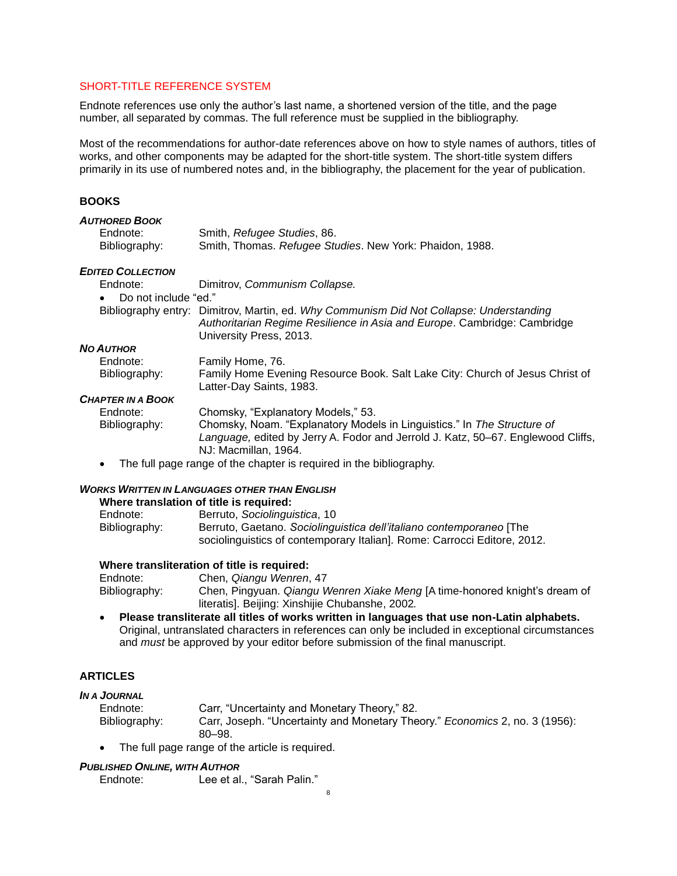# SHORT-TITLE REFERENCE SYSTEM

Endnote references use only the author's last name, a shortened version of the title, and the page number, all separated by commas. The full reference must be supplied in the bibliography.

Most of the recommendations for author-date references above on how to style names of authors, titles of works, and other components may be adapted for the short-title system. The short-title system differs primarily in its use of numbered notes and, in the bibliography, the placement for the year of publication.

# **BOOKS**

| AUTHORED BOOK            |                                                                                                                                                                                                |
|--------------------------|------------------------------------------------------------------------------------------------------------------------------------------------------------------------------------------------|
| Endnote:                 | Smith, Refugee Studies, 86.                                                                                                                                                                    |
| Bibliography:            | Smith, Thomas. Refugee Studies. New York: Phaidon, 1988.                                                                                                                                       |
| <b>EDITED COLLECTION</b> |                                                                                                                                                                                                |
| Endnote:                 | Dimitrov, Communism Collapse.                                                                                                                                                                  |
| Do not include "ed."     |                                                                                                                                                                                                |
|                          | Bibliography entry: Dimitrov, Martin, ed. Why Communism Did Not Collapse: Understanding<br>Authoritarian Regime Resilience in Asia and Europe. Cambridge: Cambridge<br>University Press, 2013. |
| NO AUTHOR                |                                                                                                                                                                                                |
| Endnote:                 | Family Home, 76.                                                                                                                                                                               |
| Bibliography:            | Family Home Evening Resource Book. Salt Lake City: Church of Jesus Christ of<br>Latter-Day Saints, 1983.                                                                                       |
| <b>CHAPTER IN A BOOK</b> |                                                                                                                                                                                                |
| Endnote:                 | Chomsky, "Explanatory Models," 53.                                                                                                                                                             |
| Bibliography:            | Chomsky, Noam. "Explanatory Models in Linguistics." In The Structure of<br>Language, edited by Jerry A. Fodor and Jerrold J. Katz, 50–67. Englewood Cliffs,<br>NJ: Macmillan. 1964.            |

• The full page range of the chapter is required in the bibliography.

### *WORKS WRITTEN IN LANGUAGES OTHER THAN ENGLISH*

### **Where translation of title is required:**

Endnote: Berruto, *Sociolinguistica*, 10 Bibliography: Berruto, Gaetano. *Sociolinguistica dell'italiano contemporaneo* [The sociolinguistics of contemporary Italian]*.* Rome: Carrocci Editore, 2012.

### **Where transliteration of title is required:**

| Endnote:      | Chen, Qiangu Wenren, 47                                                    |
|---------------|----------------------------------------------------------------------------|
| Bibliography: | Chen, Pingyuan. Qiangu Wenren Xiake Meng [A time-honored knight's dream of |
|               | literatis]. Beijing: Xinshijie Chubanshe, 2002.                            |

• **Please transliterate all titles of works written in languages that use non-Latin alphabets.** Original, untranslated characters in references can only be included in exceptional circumstances and *must* be approved by your editor before submission of the final manuscript.

# **ARTICLES**

### *IN A JOURNAL*

| Endnote:      | Carr, "Uncertainty and Monetary Theory," 82.                                       |
|---------------|------------------------------------------------------------------------------------|
| Bibliography: | Carr, Joseph. "Uncertainty and Monetary Theory." <i>Economics</i> 2, no. 3 (1956): |
|               | 80–98.                                                                             |

The full page range of the article is required.

### *PUBLISHED ONLINE, WITH AUTHOR*

| Endnote: | Lee et al., "Sarah Palin." |  |
|----------|----------------------------|--|
|----------|----------------------------|--|